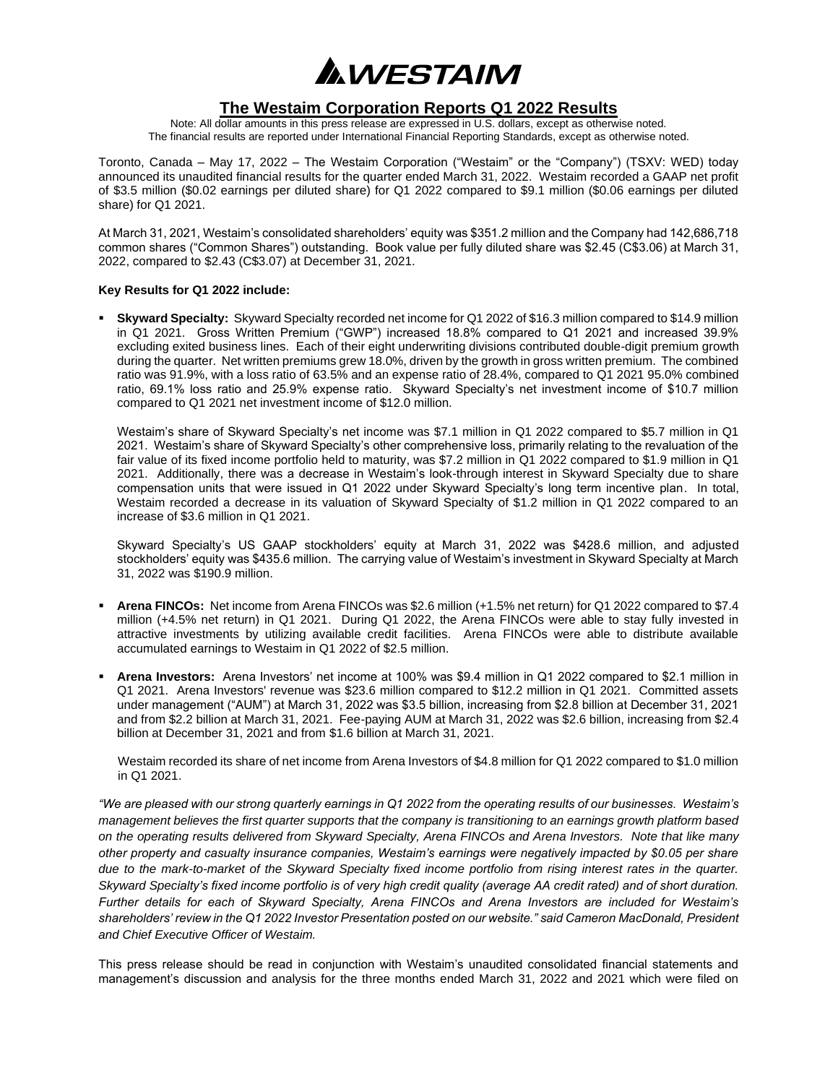ANESTAIM

## **The Westaim Corporation Reports Q1 2022 Results**

Note: All dollar amounts in this press release are expressed in U.S. dollars, except as otherwise noted. The financial results are reported under International Financial Reporting Standards, except as otherwise noted.

Toronto, Canada – May 17, 2022 – The Westaim Corporation ("Westaim" or the "Company") (TSXV: WED) today announced its unaudited financial results for the quarter ended March 31, 2022. Westaim recorded a GAAP net profit of \$3.5 million (\$0.02 earnings per diluted share) for Q1 2022 compared to \$9.1 million (\$0.06 earnings per diluted share) for Q1 2021.

At March 31, 2021, Westaim's consolidated shareholders' equity was \$351.2 million and the Company had 142,686,718 common shares ("Common Shares") outstanding. Book value per fully diluted share was \$2.45 (C\$3.06) at March 31, 2022, compared to \$2.43 (C\$3.07) at December 31, 2021.

## **Key Results for Q1 2022 include:**

▪ **Skyward Specialty:** Skyward Specialty recorded net income for Q1 2022 of \$16.3 million compared to \$14.9 million in Q1 2021. Gross Written Premium ("GWP") increased 18.8% compared to Q1 2021 and increased 39.9% excluding exited business lines. Each of their eight underwriting divisions contributed double-digit premium growth during the quarter. Net written premiums grew 18.0%, driven by the growth in gross written premium. The combined ratio was 91.9%, with a loss ratio of 63.5% and an expense ratio of 28.4%, compared to Q1 2021 95.0% combined ratio, 69.1% loss ratio and 25.9% expense ratio. Skyward Specialty's net investment income of \$10.7 million compared to Q1 2021 net investment income of \$12.0 million.

Westaim's share of Skyward Specialty's net income was \$7.1 million in Q1 2022 compared to \$5.7 million in Q1 2021. Westaim's share of Skyward Specialty's other comprehensive loss, primarily relating to the revaluation of the fair value of its fixed income portfolio held to maturity, was \$7.2 million in Q1 2022 compared to \$1.9 million in Q1 2021. Additionally, there was a decrease in Westaim's look-through interest in Skyward Specialty due to share compensation units that were issued in Q1 2022 under Skyward Specialty's long term incentive plan. In total, Westaim recorded a decrease in its valuation of Skyward Specialty of \$1.2 million in Q1 2022 compared to an increase of \$3.6 million in Q1 2021.

Skyward Specialty's US GAAP stockholders' equity at March 31, 2022 was \$428.6 million, and adjusted stockholders' equity was \$435.6 million. The carrying value of Westaim's investment in Skyward Specialty at March 31, 2022 was \$190.9 million.

- **Arena FINCOs:** Net income from Arena FINCOs was \$2.6 million (+1.5% net return) for Q1 2022 compared to \$7.4 million (+4.5% net return) in Q1 2021. During Q1 2022, the Arena FINCOs were able to stay fully invested in attractive investments by utilizing available credit facilities. Arena FINCOs were able to distribute available accumulated earnings to Westaim in Q1 2022 of \$2.5 million.
- **Arena Investors:** Arena Investors' net income at 100% was \$9.4 million in Q1 2022 compared to \$2.1 million in Q1 2021. Arena Investors' revenue was \$23.6 million compared to \$12.2 million in Q1 2021. Committed assets under management ("AUM") at March 31, 2022 was \$3.5 billion, increasing from \$2.8 billion at December 31, 2021 and from \$2.2 billion at March 31, 2021. Fee-paying AUM at March 31, 2022 was \$2.6 billion, increasing from \$2.4 billion at December 31, 2021 and from \$1.6 billion at March 31, 2021.

Westaim recorded its share of net income from Arena Investors of \$4.8 million for Q1 2022 compared to \$1.0 million in Q1 2021.

*"We are pleased with our strong quarterly earnings in Q1 2022 from the operating results of our businesses. Westaim's management believes the first quarter supports that the company is transitioning to an earnings growth platform based on the operating results delivered from Skyward Specialty, Arena FINCOs and Arena Investors. Note that like many other property and casualty insurance companies, Westaim's earnings were negatively impacted by \$0.05 per share due to the mark-to-market of the Skyward Specialty fixed income portfolio from rising interest rates in the quarter. Skyward Specialty's fixed income portfolio is of very high credit quality (average AA credit rated) and of short duration. Further details for each of Skyward Specialty, Arena FINCOs and Arena Investors are included for Westaim's shareholders' review in the Q1 2022 Investor Presentation posted on our website." said Cameron MacDonald, President and Chief Executive Officer of Westaim.*

This press release should be read in conjunction with Westaim's unaudited consolidated financial statements and management's discussion and analysis for the three months ended March 31, 2022 and 2021 which were filed on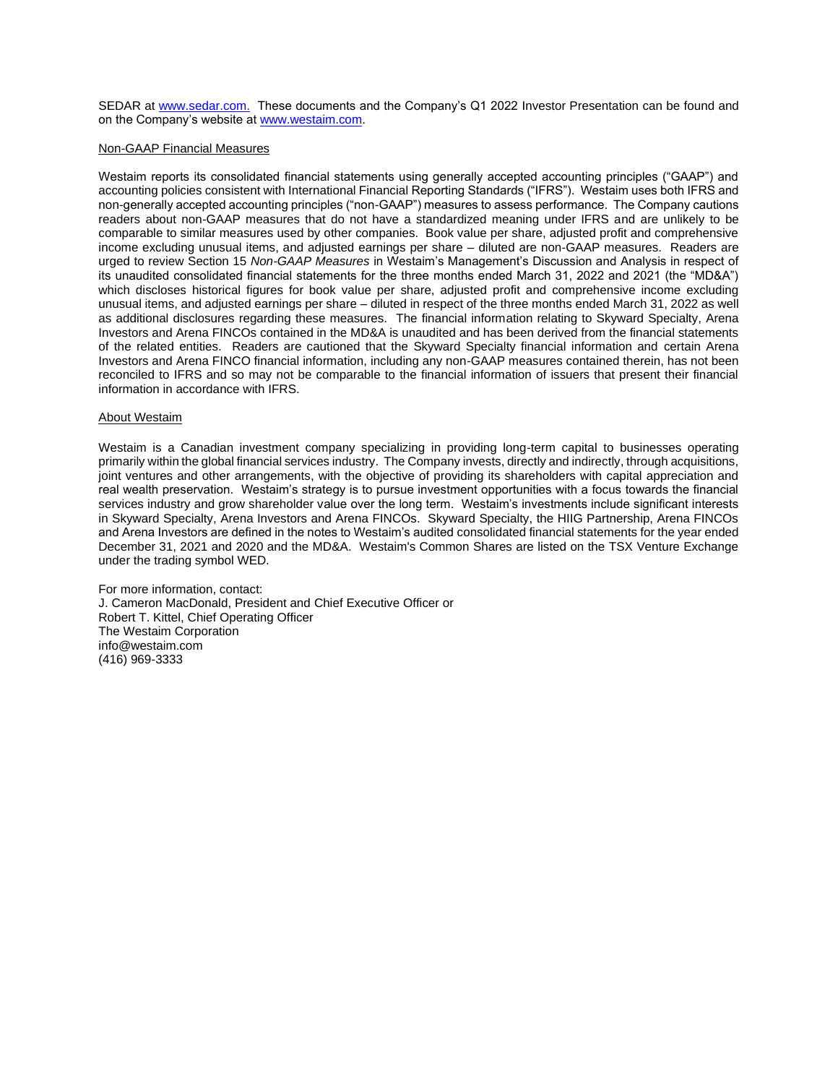SEDAR at [www.sedar.com.](http://www.sedar.com/) These documents and the Company's Q1 2022 Investor Presentation can be found and on the Company's website at [www.westaim.com.](http://www.westaim.com/)

## Non-GAAP Financial Measures

Westaim reports its consolidated financial statements using generally accepted accounting principles ("GAAP") and accounting policies consistent with International Financial Reporting Standards ("IFRS"). Westaim uses both IFRS and non-generally accepted accounting principles ("non-GAAP") measures to assess performance. The Company cautions readers about non-GAAP measures that do not have a standardized meaning under IFRS and are unlikely to be comparable to similar measures used by other companies. Book value per share, adjusted profit and comprehensive income excluding unusual items, and adjusted earnings per share – diluted are non-GAAP measures. Readers are urged to review Section 15 *Non-GAAP Measures* in Westaim's Management's Discussion and Analysis in respect of its unaudited consolidated financial statements for the three months ended March 31, 2022 and 2021 (the "MD&A") which discloses historical figures for book value per share, adjusted profit and comprehensive income excluding unusual items, and adjusted earnings per share – diluted in respect of the three months ended March 31, 2022 as well as additional disclosures regarding these measures. The financial information relating to Skyward Specialty, Arena Investors and Arena FINCOs contained in the MD&A is unaudited and has been derived from the financial statements of the related entities. Readers are cautioned that the Skyward Specialty financial information and certain Arena Investors and Arena FINCO financial information, including any non-GAAP measures contained therein, has not been reconciled to IFRS and so may not be comparable to the financial information of issuers that present their financial information in accordance with IFRS.

## About Westaim

Westaim is a Canadian investment company specializing in providing long-term capital to businesses operating primarily within the global financial services industry. The Company invests, directly and indirectly, through acquisitions, joint ventures and other arrangements, with the objective of providing its shareholders with capital appreciation and real wealth preservation. Westaim's strategy is to pursue investment opportunities with a focus towards the financial services industry and grow shareholder value over the long term. Westaim's investments include significant interests in Skyward Specialty, Arena Investors and Arena FINCOs. Skyward Specialty, the HIIG Partnership, Arena FINCOs and Arena Investors are defined in the notes to Westaim's audited consolidated financial statements for the year ended December 31, 2021 and 2020 and the MD&A. Westaim's Common Shares are listed on the TSX Venture Exchange under the trading symbol WED.

For more information, contact: J. Cameron MacDonald, President and Chief Executive Officer or Robert T. Kittel, Chief Operating Officer The Westaim Corporation info@westaim.com (416) 969-3333